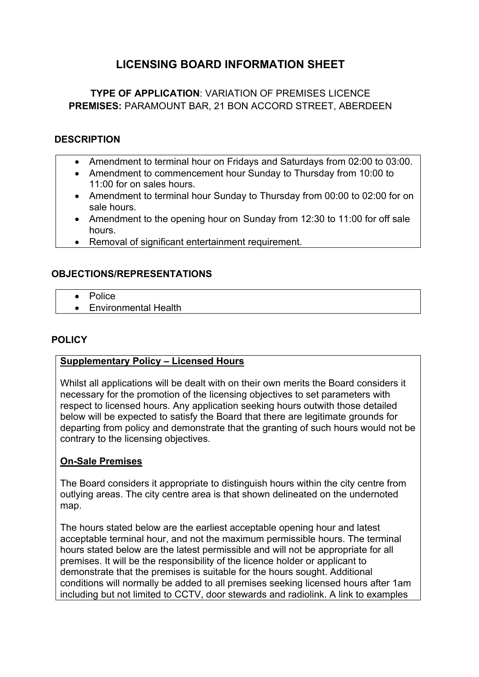# **LICENSING BOARD INFORMATION SHEET**

## **TYPE OF APPLICATION**: VARIATION OF PREMISES LICENCE **PREMISES:** PARAMOUNT BAR, 21 BON ACCORD STREET, ABERDEEN

#### **DESCRIPTION**

- Amendment to terminal hour on Fridays and Saturdays from 02:00 to 03:00.
- Amendment to commencement hour Sunday to Thursday from 10:00 to 11:00 for on sales hours.
- Amendment to terminal hour Sunday to Thursday from 00:00 to 02:00 for on sale hours.
- Amendment to the opening hour on Sunday from 12:30 to 11:00 for off sale hours.
- Removal of significant entertainment requirement.

### **OBJECTIONS/REPRESENTATIONS**

- **•** Police
- Environmental Health

### **POLICY**

#### **Supplementary Policy – Licensed Hours**

Whilst all applications will be dealt with on their own merits the Board considers it necessary for the promotion of the licensing objectives to set parameters with respect to licensed hours. Any application seeking hours outwith those detailed below will be expected to satisfy the Board that there are legitimate grounds for departing from policy and demonstrate that the granting of such hours would not be contrary to the licensing objectives.

### **On-Sale Premises**

The Board considers it appropriate to distinguish hours within the city centre from outlying areas. The city centre area is that shown delineated on the undernoted map.

The hours stated below are the earliest acceptable opening hour and latest acceptable terminal hour, and not the maximum permissible hours. The terminal hours stated below are the latest permissible and will not be appropriate for all premises. It will be the responsibility of the licence holder or applicant to demonstrate that the premises is suitable for the hours sought. Additional conditions will normally be added to all premises seeking licensed hours after 1am including but not limited to CCTV, door stewards and radiolink. A link to examples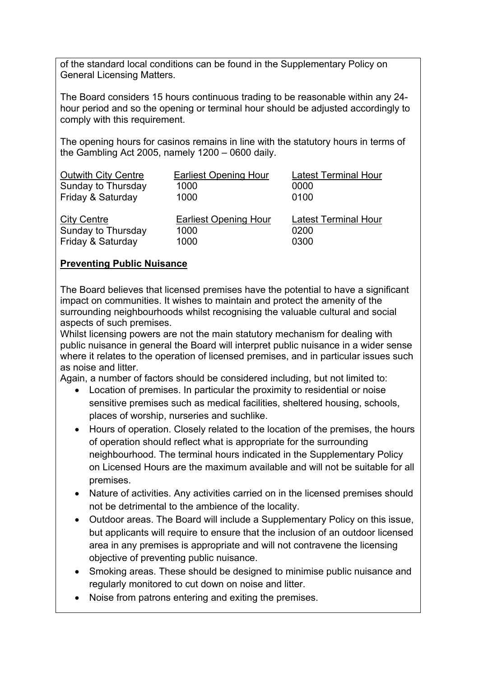of the standard local conditions can be found in the Supplementary Policy on General Licensing Matters.

The Board considers 15 hours continuous trading to be reasonable within any 24 hour period and so the opening or terminal hour should be adjusted accordingly to comply with this requirement.

The opening hours for casinos remains in line with the statutory hours in terms of the Gambling Act 2005, namely 1200 – 0600 daily.

| <b>Outwith City Centre</b> | <b>Earliest Opening Hour</b> | <b>Latest Terminal Hour</b> |
|----------------------------|------------------------------|-----------------------------|
| Sunday to Thursday         | 1000                         | 0000                        |
| Friday & Saturday          | 1000                         | 0100                        |
| <b>City Centre</b>         | <b>Earliest Opening Hour</b> | <b>Latest Terminal Hour</b> |
| Sunday to Thursday         | 1000                         | 0200                        |
| Friday & Saturday          | 1000                         | 0300                        |

### **Preventing Public Nuisance**

The Board believes that licensed premises have the potential to have a significant impact on communities. It wishes to maintain and protect the amenity of the surrounding neighbourhoods whilst recognising the valuable cultural and social aspects of such premises.

Whilst licensing powers are not the main statutory mechanism for dealing with public nuisance in general the Board will interpret public nuisance in a wider sense where it relates to the operation of licensed premises, and in particular issues such as noise and litter.

Again, a number of factors should be considered including, but not limited to:

- Location of premises. In particular the proximity to residential or noise sensitive premises such as medical facilities, sheltered housing, schools, places of worship, nurseries and suchlike.
- Hours of operation. Closely related to the location of the premises, the hours of operation should reflect what is appropriate for the surrounding neighbourhood. The terminal hours indicated in the Supplementary Policy on Licensed Hours are the maximum available and will not be suitable for all premises.
- Nature of activities. Any activities carried on in the licensed premises should not be detrimental to the ambience of the locality.
- Outdoor areas. The Board will include a Supplementary Policy on this issue, but applicants will require to ensure that the inclusion of an outdoor licensed area in any premises is appropriate and will not contravene the licensing objective of preventing public nuisance.
- Smoking areas. These should be designed to minimise public nuisance and regularly monitored to cut down on noise and litter.
- Noise from patrons entering and exiting the premises.